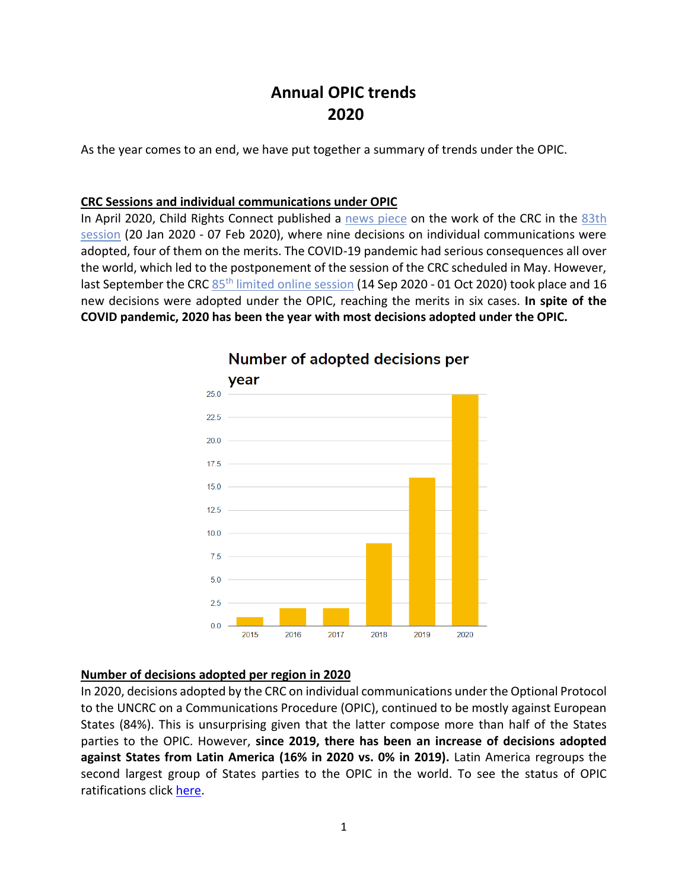# **Annual OPIC trends 2020**

As the year comes to an end, we have put together a summary of trends under the OPIC.

#### **CRC Sessions and individual communications under OPIC**

In April 2020, Child Rights Connect published a [news piece](http://opic.childrightsconnect.org/adopted-decisions-of-the-un-committee-on-the-rights-of-the-child-are-out-crc-83rd-session-recap/) on the work of the CRC in the 83th [session](https://tbinternet.ohchr.org/_layouts/15/treatybodyexternal/SessionDetails1.aspx?SessionID=1323&Lang=en) (20 Jan 2020 - 07 Feb 2020), where nine decisions on individual communications were adopted, four of them on the merits. The COVID-19 pandemic had serious consequences all over the world, which led to the postponement of the session of the CRC scheduled in May. However, last September the CRC 85<sup>th</sup> [limited online session](https://tbinternet.ohchr.org/_layouts/15/treatybodyexternal/SessionDetails1.aspx?SessionID=1326&Lang=en) (14 Sep 2020 - 01 Oct 2020) took place and 16 new decisions were adopted under the OPIC, reaching the merits in six cases. **In spite of the COVID pandemic, 2020 has been the year with most decisions adopted under the OPIC.**



## **Number of adopted decisions per**

#### **Number of decisions adopted per region in 2020**

In 2020, decisions adopted by the CRC on individual communications under the Optional Protocol to the UNCRC on a Communications Procedure (OPIC), continued to be mostly against European States (84%). This is unsurprising given that the latter compose more than half of the States parties to the OPIC. However, **since 2019, there has been an increase of decisions adopted against States from Latin America (16% in 2020 vs. 0% in 2019).** Latin America regroups the second largest group of States parties to the OPIC in the world. To see the status of OPIC ratifications click [here.](http://opic.childrightsconnect.org/ratification-status/)